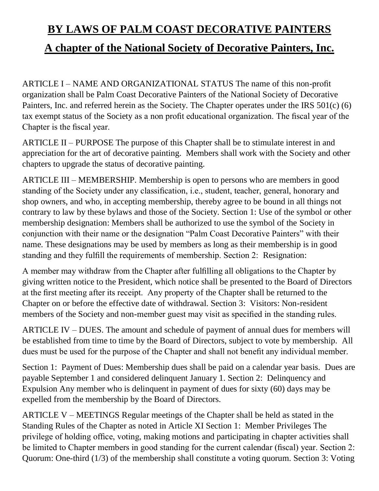## **BY LAWS OF PALM COAST DECORATIVE PAINTERS**

## **A chapter of the National Society of Decorative Painters, Inc.**

ARTICLE I – NAME AND ORGANIZATIONAL STATUS The name of this non-profit organization shall be Palm Coast Decorative Painters of the National Society of Decorative Painters, Inc. and referred herein as the Society. The Chapter operates under the IRS 501(c) (6) tax exempt status of the Society as a non profit educational organization. The fiscal year of the Chapter is the fiscal year.

ARTICLE II – PURPOSE The purpose of this Chapter shall be to stimulate interest in and appreciation for the art of decorative painting. Members shall work with the Society and other chapters to upgrade the status of decorative painting.

ARTICLE III – MEMBERSHIP. Membership is open to persons who are members in good standing of the Society under any classification, i.e., student, teacher, general, honorary and shop owners, and who, in accepting membership, thereby agree to be bound in all things not contrary to law by these bylaws and those of the Society. Section 1: Use of the symbol or other membership designation: Members shall be authorized to use the symbol of the Society in conjunction with their name or the designation "Palm Coast Decorative Painters" with their name. These designations may be used by members as long as their membership is in good standing and they fulfill the requirements of membership. Section 2: Resignation:

A member may withdraw from the Chapter after fulfilling all obligations to the Chapter by giving written notice to the President, which notice shall be presented to the Board of Directors at the first meeting after its receipt. Any property of the Chapter shall be returned to the Chapter on or before the effective date of withdrawal. Section 3: Visitors: Non-resident members of the Society and non-member guest may visit as specified in the standing rules.

ARTICLE IV – DUES. The amount and schedule of payment of annual dues for members will be established from time to time by the Board of Directors, subject to vote by membership. All dues must be used for the purpose of the Chapter and shall not benefit any individual member.

Section 1: Payment of Dues: Membership dues shall be paid on a calendar year basis. Dues are payable September 1 and considered delinquent January 1. Section 2: Delinquency and Expulsion Any member who is delinquent in payment of dues for sixty (60) days may be expelled from the membership by the Board of Directors.

ARTICLE V – MEETINGS Regular meetings of the Chapter shall be held as stated in the Standing Rules of the Chapter as noted in Article XI Section 1: Member Privileges The privilege of holding office, voting, making motions and participating in chapter activities shall be limited to Chapter members in good standing for the current calendar (fiscal) year. Section 2: Quorum: One-third (1/3) of the membership shall constitute a voting quorum. Section 3: Voting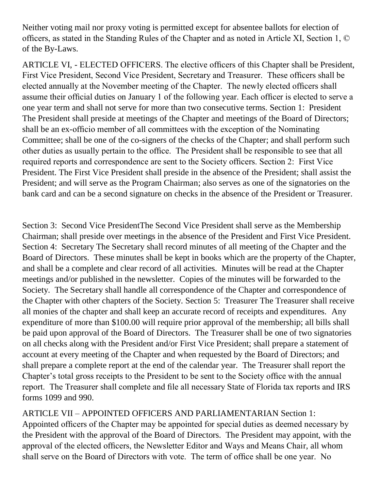Neither voting mail nor proxy voting is permitted except for absentee ballots for election of officers, as stated in the Standing Rules of the Chapter and as noted in Article XI, Section 1, © of the By-Laws.

ARTICLE VI, - ELECTED OFFICERS. The elective officers of this Chapter shall be President, First Vice President, Second Vice President, Secretary and Treasurer. These officers shall be elected annually at the November meeting of the Chapter. The newly elected officers shall assume their official duties on January 1 of the following year. Each officer is elected to serve a one year term and shall not serve for more than two consecutive terms. Section 1: President The President shall preside at meetings of the Chapter and meetings of the Board of Directors; shall be an ex-officio member of all committees with the exception of the Nominating Committee; shall be one of the co-signers of the checks of the Chapter; and shall perform such other duties as usually pertain to the office. The President shall be responsible to see that all required reports and correspondence are sent to the Society officers. Section 2: First Vice President. The First Vice President shall preside in the absence of the President; shall assist the President; and will serve as the Program Chairman; also serves as one of the signatories on the bank card and can be a second signature on checks in the absence of the President or Treasurer.

Section 3: Second Vice PresidentThe Second Vice President shall serve as the Membership Chairman; shall preside over meetings in the absence of the President and First Vice President. Section 4: Secretary The Secretary shall record minutes of all meeting of the Chapter and the Board of Directors. These minutes shall be kept in books which are the property of the Chapter, and shall be a complete and clear record of all activities. Minutes will be read at the Chapter meetings and/or published in the newsletter. Copies of the minutes will be forwarded to the Society. The Secretary shall handle all correspondence of the Chapter and correspondence of the Chapter with other chapters of the Society. Section 5: Treasurer The Treasurer shall receive all monies of the chapter and shall keep an accurate record of receipts and expenditures. Any expenditure of more than \$100.00 will require prior approval of the membership; all bills shall be paid upon approval of the Board of Directors. The Treasurer shall be one of two signatories on all checks along with the President and/or First Vice President; shall prepare a statement of account at every meeting of the Chapter and when requested by the Board of Directors; and shall prepare a complete report at the end of the calendar year. The Treasurer shall report the Chapter's total gross receipts to the President to be sent to the Society office with the annual report. The Treasurer shall complete and file all necessary State of Florida tax reports and IRS forms 1099 and 990.

ARTICLE VII – APPOINTED OFFICERS AND PARLIAMENTARIAN Section 1: Appointed officers of the Chapter may be appointed for special duties as deemed necessary by the President with the approval of the Board of Directors. The President may appoint, with the approval of the elected officers, the Newsletter Editor and Ways and Means Chair, all whom shall serve on the Board of Directors with vote. The term of office shall be one year. No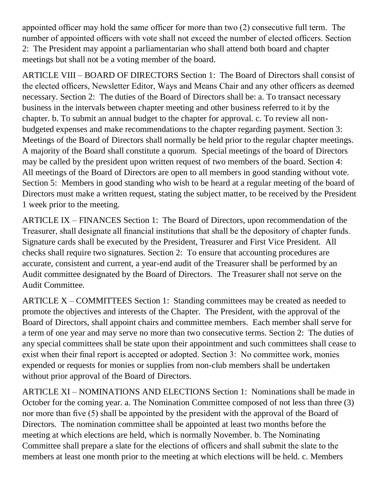appointed officer may hold the same officer for more than two (2) consecutive full term. The number of appointed officers with vote shall not exceed the number of elected officers. Section 2: The President may appoint a parliamentarian who shall attend both board and chapter meetings but shall not be a voting member of the board.

ARTICLE VIII – BOARD OF DIRECTORS Section 1: The Board of Directors shall consist of the elected officers, Newsletter Editor, Ways and Means Chair and any other officers as deemed necessary. Section 2: The duties of the Board of Directors shall be: a. To transact necessary business in the intervals between chapter meeting and other business referred to it by the chapter. b. To submit an annual budget to the chapter for approval. c. To review all nonbudgeted expenses and make recommendations to the chapter regarding payment. Section 3: Meetings of the Board of Directors shall normally be held prior to the regular chapter meetings. A majority of the Board shall constitute a quorum. Special meetings of the board of Directors may be called by the president upon written request of two members of the board. Section 4: All meetings of the Board of Directors are open to all members in good standing without vote. Section 5: Members in good standing who wish to be heard at a regular meeting of the board of Directors must make a written request, stating the subject matter, to be received by the President 1 week prior to the meeting.

ARTICLE IX – FINANCES Section 1: The Board of Directors, upon recommendation of the Treasurer, shall designate all financial institutions that shall be the depository of chapter funds. Signature cards shall be executed by the President, Treasurer and First Vice President. All checks shall require two signatures. Section 2: To ensure that accounting procedures are accurate, consistent and current, a year-end audit of the Treasurer shall be performed by an Audit committee designated by the Board of Directors. The Treasurer shall not serve on the Audit Committee.

ARTICLE X – COMMITTEES Section 1: Standing committees may be created as needed to promote the objectives and interests of the Chapter. The President, with the approval of the Board of Directors, shall appoint chairs and committee members. Each member shall serve for a term of one year and may serve no more than two consecutive terms. Section 2: The duties of any special committees shall be state upon their appointment and such committees shall cease to exist when their final report is accepted or adopted. Section 3: No committee work, monies expended or requests for monies or supplies from non-club members shall be undertaken without prior approval of the Board of Directors.

ARTICLE XI – NOMINATIONS AND ELECTIONS Section 1: Nominations shall be made in October for the coming year. a. The Nomination Committee composed of not less than three (3) nor more than five (5) shall be appointed by the president with the approval of the Board of Directors. The nomination committee shall be appointed at least two months before the meeting at which elections are held, which is normally November. b. The Nominating Committee shall prepare a slate for the elections of officers and shall submit the slate to the members at least one month prior to the meeting at which elections will be held. c. Members